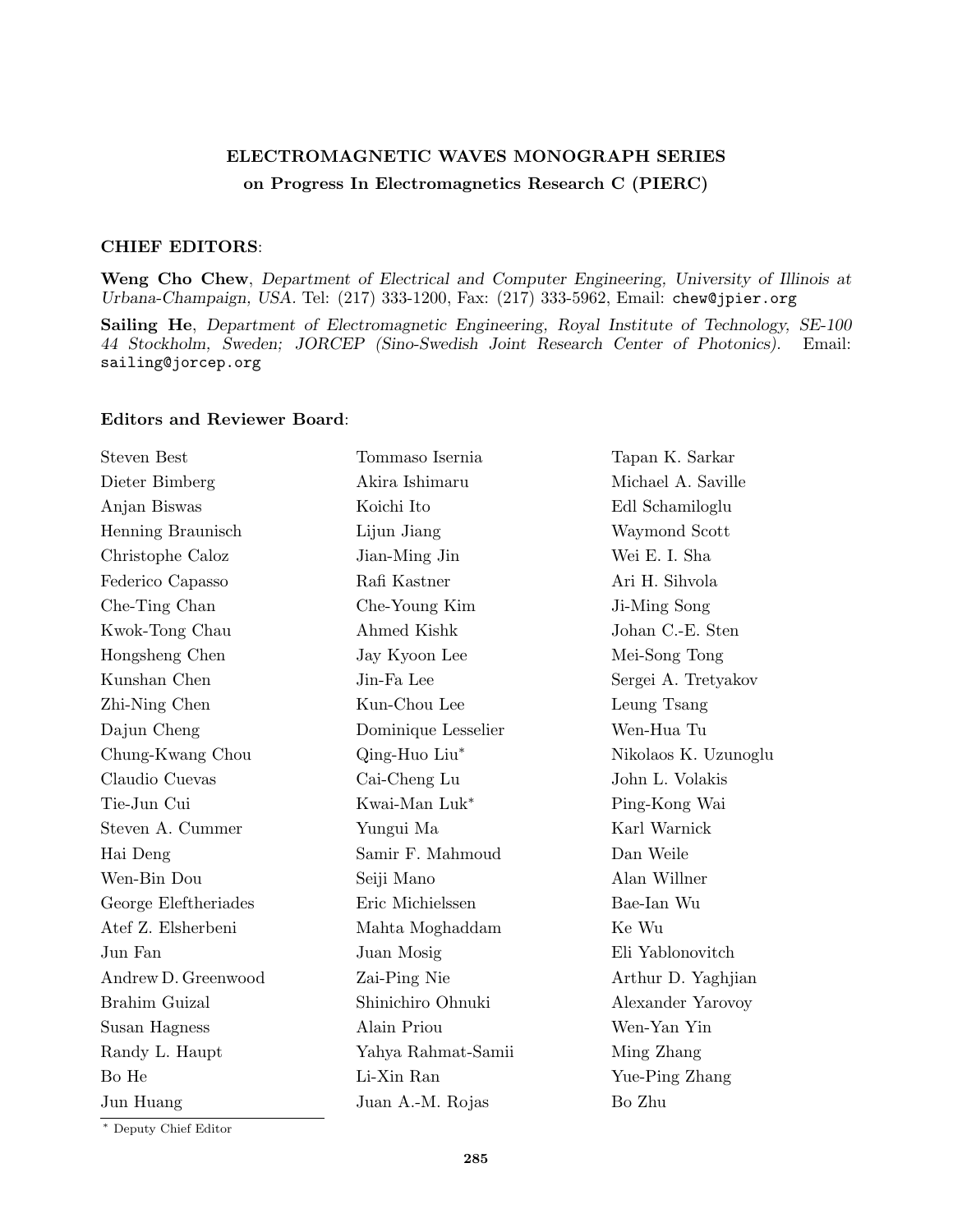## ELECTROMAGNETIC WAVES MONOGRAPH SERIES on Progress In Electromagnetics Research C (PIERC)

## CHIEF EDITORS:

Weng Cho Chew, Department of Electrical and Computer Engineering, University of Illinois at Urbana-Champaign, USA. Tel: (217) 333-1200, Fax: (217) 333-5962, Email: chew@jpier.org

Sailing He, Department of Electromagnetic Engineering, Royal Institute of Technology, SE-100 44 Stockholm, Sweden; JORCEP (Sino-Swedish Joint Research Center of Photonics). Email: sailing@jorcep.org

## Editors and Reviewer Board:

| <b>Steven Best</b>   | Tommaso Isernia     | Tapan K. Sarkar      |
|----------------------|---------------------|----------------------|
| Dieter Bimberg       | Akira Ishimaru      | Michael A. Saville   |
| Anjan Biswas         | Koichi Ito          | Edl Schamiloglu      |
| Henning Braunisch    | Lijun Jiang         | Waymond Scott        |
| Christophe Caloz     | Jian-Ming Jin       | Wei E. I. Sha        |
| Federico Capasso     | Rafi Kastner        | Ari H. Sihvola       |
| Che-Ting Chan        | Che-Young Kim       | Ji-Ming Song         |
| Kwok-Tong Chau       | Ahmed Kishk         | Johan C.-E. Sten     |
| Hongsheng Chen       | Jay Kyoon Lee       | Mei-Song Tong        |
| Kunshan Chen         | Jin-Fa Lee          | Sergei A. Tretyakov  |
| Zhi-Ning Chen        | Kun-Chou Lee        | Leung Tsang          |
| Dajun Cheng          | Dominique Lesselier | Wen-Hua Tu           |
| Chung-Kwang Chou     | Qing-Huo Liu*       | Nikolaos K. Uzunoglu |
| Claudio Cuevas       | Cai-Cheng Lu        | John L. Volakis      |
| Tie-Jun Cui          | Kwai-Man Luk*       | Ping-Kong Wai        |
| Steven A. Cummer     | Yungui Ma           | Karl Warnick         |
| Hai Deng             | Samir F. Mahmoud    | Dan Weile            |
| Wen-Bin Dou          | Seiji Mano          | Alan Willner         |
| George Eleftheriades | Eric Michielssen    | Bae-Ian Wu           |
| Atef Z. Elsherbeni   | Mahta Moghaddam     | Ke Wu                |
| Jun Fan              | Juan Mosig          | Eli Yablonovitch     |
| Andrew D. Greenwood  | Zai-Ping Nie        | Arthur D. Yaghjian   |
| Brahim Guizal        | Shinichiro Ohnuki   | Alexander Yarovoy    |
| Susan Hagness        | Alain Priou         | Wen-Yan Yin          |
| Randy L. Haupt       | Yahya Rahmat-Samii  | Ming Zhang           |
| Bo He                | Li-Xin Ran          | Yue-Ping Zhang       |
| Jun Huang            | Juan A.-M. Rojas    | Bo Zhu               |
|                      |                     |                      |

<sup>∗</sup> Deputy Chief Editor